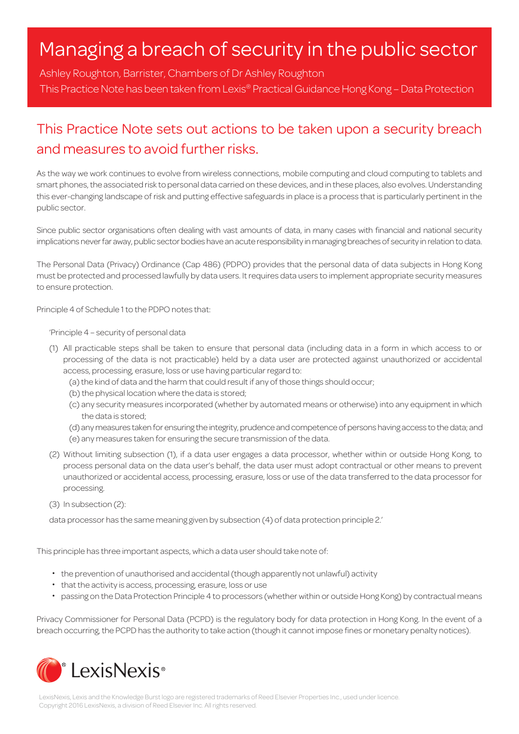# Managing a breach of security in the public sector

Ashley Roughton, Barrister, Chambers of Dr Ashley Roughton This Practice Note has been taken from Lexis® Practical Guidance Hong Kong – Data Protection

# This Practice Note sets out actions to be taken upon a security breach and measures to avoid further risks.

As the way we work continues to evolve from wireless connections, mobile computing and cloud computing to tablets and smart phones, the associated risk to personal data carried on these devices, and in these places, also evolves. Understanding this ever-changing landscape of risk and putting effective safeguards in place is a process that is particularly pertinent in the public sector.

Since public sector organisations often dealing with vast amounts of data, in many cases with financial and national security implications never far away, public sector bodies have an acute responsibility in managing breaches of security in relation to data.

The Personal Data (Privacy) Ordinance (Cap 486) (PDPO) provides that the personal data of data subjects in Hong Kong must be protected and processed lawfully by data users. It requires data users to implement appropriate security measures to ensure protection.

Principle 4 of Schedule 1 to the PDPO notes that:

'Principle 4 – security of personal data

- (1) All practicable steps shall be taken to ensure that personal data (including data in a form in which access to or processing of the data is not practicable) held by a data user are protected against unauthorized or accidental access, processing, erasure, loss or use having particular regard to:
	- (a) the kind of data and the harm that could result if any of those things should occur;
	- (b) the physical location where the data is stored;
	- (c) any security measures incorporated (whether by automated means or otherwise) into any equipment in which the data is stored;
	- (d) any measures taken for ensuring the integrity, prudence and competence of persons having access to the data; and
	- (e) any measures taken for ensuring the secure transmission of the data.
- (2) Without limiting subsection (1), if a data user engages a data processor, whether within or outside Hong Kong, to process personal data on the data user's behalf, the data user must adopt contractual or other means to prevent unauthorized or accidental access, processing, erasure, loss or use of the data transferred to the data processor for processing.
- (3) In subsection (2):

data processor has the same meaning given by subsection (4) of data protection principle 2.'

This principle has three important aspects, which a data user should take note of:

- ・ the prevention of unauthorised and accidental (though apparently not unlawful) activity
- ・ that the activity is access, processing, erasure, loss or use
- ・ passing on the Data Protection Principle 4 to processors (whether within or outside Hong Kong) by contractual means

Privacy Commissioner for Personal Data (PCPD) is the regulatory body for data protection in Hong Kong. In the event of a breach occurring, the PCPD has the authority to take action (though it cannot impose fines or monetary penalty notices).

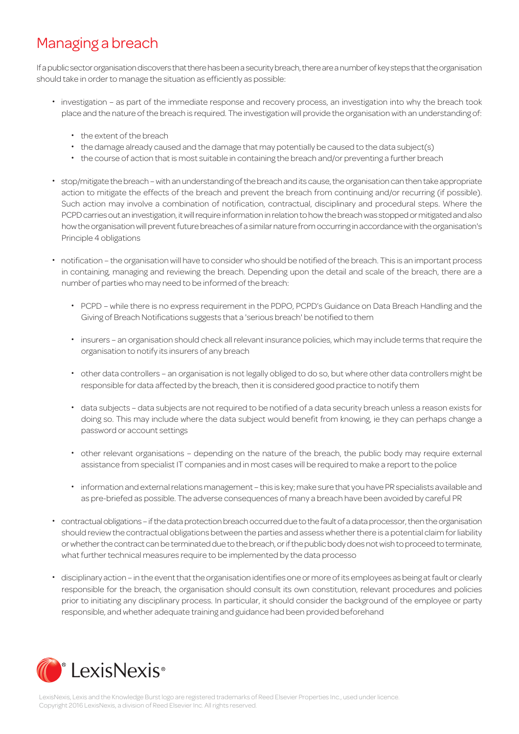# Managing a breach

If a public sector organisation discovers that there has been a security breach, there are a number of key steps that the organisation should take in order to manage the situation as efficiently as possible:

- ・ investigation as part of the immediate response and recovery process, an investigation into why the breach took place and the nature of the breach is required. The investigation will provide the organisation with an understanding of:
	- ・ the extent of the breach
	- ・ the damage already caused and the damage that may potentially be caused to the data subject(s)
	- ・ the course of action that is most suitable in containing the breach and/or preventing a further breach
- ・ stop/mitigate the breach with an understanding of the breach and its cause, the organisation can then take appropriate action to mitigate the effects of the breach and prevent the breach from continuing and/or recurring (if possible). Such action may involve a combination of notification, contractual, disciplinary and procedural steps. Where the PCPD carries out an investigation, it will require information in relation to how the breach was stopped or mitigated and also how the organisation will prevent future breaches of a similar nature from occurring in accordance with the organisation's Principle 4 obligations
- ・ notification the organisation will have to consider who should be notified of the breach. This is an important process in containing, managing and reviewing the breach. Depending upon the detail and scale of the breach, there are a number of parties who may need to be informed of the breach:
	- ・ PCPD while there is no express requirement in the PDPO, PCPD's Guidance on Data Breach Handling and the Giving of Breach Notifications suggests that a 'serious breach' be notified to them
	- ・ insurers an organisation should check all relevant insurance policies, which may include terms that require the organisation to notify its insurers of any breach
	- ・ other data controllers an organisation is not legally obliged to do so, but where other data controllers might be responsible for data affected by the breach, then it is considered good practice to notify them
	- ・ data subjects data subjects are not required to be notified of a data security breach unless a reason exists for doing so. This may include where the data subject would benefit from knowing, ie they can perhaps change a password or account settings
	- ・ other relevant organisations depending on the nature of the breach, the public body may require external assistance from specialist IT companies and in most cases will be required to make a report to the police
	- ・ information and external relations management this is key; make sure that you have PR specialists available and as pre-briefed as possible. The adverse consequences of many a breach have been avoided by careful PR
- ・ contractual obligations if the data protection breach occurred due to the fault of a data processor, then the organisation should review the contractual obligations between the parties and assess whether there is a potential claim for liability or whether the contract can be terminated due to the breach, or if the public body does not wish to proceed to terminate, what further technical measures require to be implemented by the data processo
- ・ disciplinary action in the event that the organisation identifies one or more of its employees as being at fault or clearly responsible for the breach, the organisation should consult its own constitution, relevant procedures and policies prior to initiating any disciplinary process. In particular, it should consider the background of the employee or party responsible, and whether adequate training and guidance had been provided beforehand

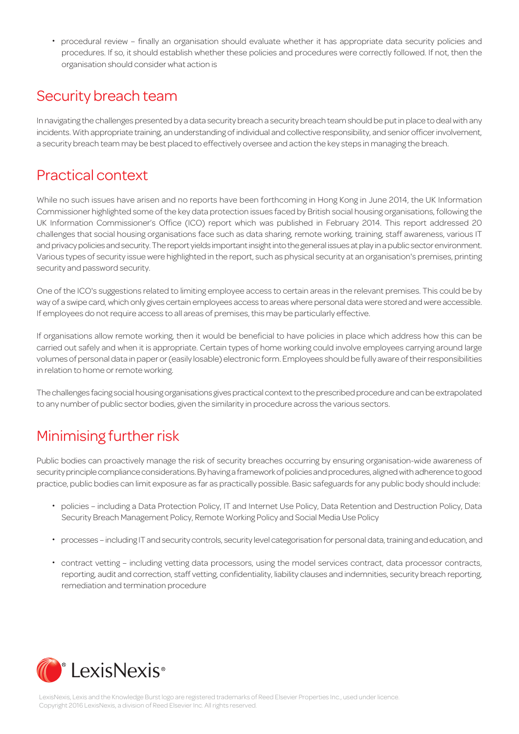・ procedural review – finally an organisation should evaluate whether it has appropriate data security policies and procedures. If so, it should establish whether these policies and procedures were correctly followed. If not, then the organisation should consider what action is

#### Security breach team

In navigating the challenges presented by a data security breach a security breach team should be put in place to deal with any incidents. With appropriate training, an understanding of individual and collective responsibility, and senior officer involvement, a security breach team may be best placed to effectively oversee and action the key steps in managing the breach.

### Practical context

While no such issues have arisen and no reports have been forthcoming in Hong Kong in June 2014, the UK Information Commissioner highlighted some of the key data protection issues faced by British social housing organisations, following the UK Information Commissioner's Office (ICO) report which was published in February 2014. This report addressed 20 challenges that social housing organisations face such as data sharing, remote working, training, staff awareness, various IT and privacy policies and security. The report yields important insight into the general issues at play in a public sector environment. Various types of security issue were highlighted in the report, such as physical security at an organisation's premises, printing security and password security.

One of the ICO's suggestions related to limiting employee access to certain areas in the relevant premises. This could be by way of a swipe card, which only gives certain employees access to areas where personal data were stored and were accessible. If employees do not require access to all areas of premises, this may be particularly effective.

If organisations allow remote working, then it would be beneficial to have policies in place which address how this can be carried out safely and when it is appropriate. Certain types of home working could involve employees carrying around large volumes of personal data in paper or (easily losable) electronic form. Employees should be fully aware of their responsibilities in relation to home or remote working.

The challenges facing social housing organisations gives practical context to the prescribed procedure and can be extrapolated to any number of public sector bodies, given the similarity in procedure across the various sectors.

# Minimising further risk

Public bodies can proactively manage the risk of security breaches occurring by ensuring organisation-wide awareness of security principle compliance considerations. By having a framework of policies and procedures, aligned with adherence to good practice, public bodies can limit exposure as far as practically possible. Basic safeguards for any public body should include:

- ・ policies including a Data Protection Policy, IT and Internet Use Policy, Data Retention and Destruction Policy, Data Security Breach Management Policy, Remote Working Policy and Social Media Use Policy
- ・ processes including IT and security controls, security level categorisation for personal data, training and education, and
- ・ contract vetting including vetting data processors, using the model services contract, data processor contracts, reporting, audit and correction, staff vetting, confidentiality, liability clauses and indemnities, security breach reporting, remediation and termination procedure



LexisNexis, Lexis and the Knowledge Burst logo are registered trademarks of Reed Elsevier Properties Inc., used under licence. Copyright 2016 LexisNexis, a division of Reed Elsevier Inc. All rights reserved.